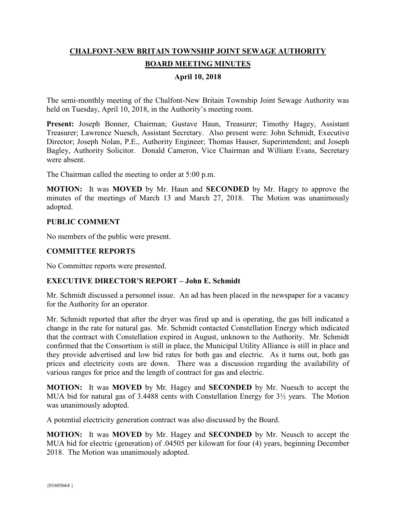# **CHALFONT-NEW BRITAIN TOWNSHIP JOINT SEWAGE AUTHORITY BOARD MEETING MINUTES**

## **April 10, 2018**

The semi-monthly meeting of the Chalfont-New Britain Township Joint Sewage Authority was held on Tuesday, April 10, 2018, in the Authority's meeting room.

**Present:** Joseph Bonner, Chairman; Gustave Haun, Treasurer; Timothy Hagey, Assistant Treasurer; Lawrence Nuesch, Assistant Secretary. Also present were: John Schmidt, Executive Director; Joseph Nolan, P.E., Authority Engineer; Thomas Hauser, Superintendent; and Joseph Bagley, Authority Solicitor. Donald Cameron, Vice Chairman and William Evans, Secretary were absent.

The Chairman called the meeting to order at 5:00 p.m.

**MOTION:** It was **MOVED** by Mr. Haun and **SECONDED** by Mr. Hagey to approve the minutes of the meetings of March 13 and March 27, 2018. The Motion was unanimously adopted.

#### **PUBLIC COMMENT**

No members of the public were present.

## **COMMITTEE REPORTS**

No Committee reports were presented.

## **EXECUTIVE DIRECTOR'S REPORT – John E. Schmidt**

Mr. Schmidt discussed a personnel issue. An ad has been placed in the newspaper for a vacancy for the Authority for an operator.

Mr. Schmidt reported that after the dryer was fired up and is operating, the gas bill indicated a change in the rate for natural gas. Mr. Schmidt contacted Constellation Energy which indicated that the contract with Constellation expired in August, unknown to the Authority. Mr. Schmidt confirmed that the Consortium is still in place, the Municipal Utility Alliance is still in place and they provide advertised and low bid rates for both gas and electric. As it turns out, both gas prices and electricity costs are down. There was a discussion regarding the availability of various ranges for price and the length of contract for gas and electric.

**MOTION:** It was **MOVED** by Mr. Hagey and **SECONDED** by Mr. Nuesch to accept the MUA bid for natural gas of 3.4488 cents with Constellation Energy for 3½ years. The Motion was unanimously adopted.

A potential electricity generation contract was also discussed by the Board.

**MOTION:** It was **MOVED** by Mr. Hagey and **SECONDED** by Mr. Neusch to accept the MUA bid for electric (generation) of .04505 per kilowatt for four (4) years, beginning December 2018. The Motion was unanimously adopted.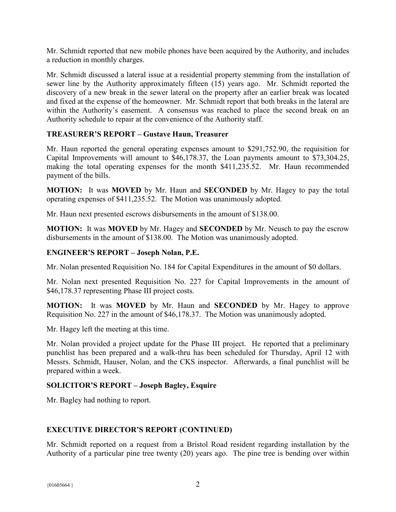Mr. Schmidt reported that new mobile phones have been acquired by the Authority, and includes a reduction in monthly charges.

Mr. Schmidt discussed a lateral issue at a residential property stemming from the installation of sewer line by the Authority approximately fifteen (15) years ago. Mr. Schmidt reported the discovery of a new break in the sewer lateral on the property after an earlier break was located and fixed at the expense of the homeowner. Mr. Schmidt report that both breaks in the lateral are within the Authority's easement. A consensus was reached to place the second break on an Authority schedule to repair at the convenience of the Authority staff.

## **TREASURER'S REPORT – Gustave Haun, Treasurer**

Mr. Haun reported the general operating expenses amount to \$291,752.90, the requisition for Capital Improvements will amount to \$46,178.37, the Loan payments amount to \$73,304.25, making the total operating expenses for the month \$411,235.52. Mr. Haun recommended payment of the bills.

**MOTION:** It was **MOVED** by Mr. Haun and **SECONDED** by Mr. Hagey to pay the total operating expenses of \$411,235.52. The Motion was unanimously adopted.

Mr. Haun next presented escrows disbursements in the amount of \$138.00.

**MOTION:** It was **MOVED** by Mr. Hagey and **SECONDED** by Mr. Neusch to pay the escrow disbursements in the amount of \$138.00. The Motion was unanimously adopted.

#### **ENGINEER'S REPORT – Joseph Nolan, P.E.**

Mr. Nolan presented Requisition No. 184 for Capital Expenditures in the amount of \$0 dollars.

Mr. Nolan next presented Requisition No. 227 for Capital Improvements in the amount of \$46,178.37 representing Phase III project costs.

**MOTION:** It was **MOVED** by Mr. Haun and **SECONDED** by Mr. Hagey to approve Requisition No. 227 in the amount of \$46,178.37. The Motion was unanimously adopted.

Mr. Hagey left the meeting at this time.

Mr. Nolan provided a project update for the Phase III project. He reported that a preliminary punchlist has been prepared and a walk-thru has been scheduled for Thursday, April 12 with Messrs. Schmidt, Hauser, Nolan, and the CKS inspector. Afterwards, a final punchlist will be prepared within a week.

#### **SOLICITOR'S REPORT – Joseph Bagley, Esquire**

Mr. Bagley had nothing to report.

#### **EXECUTIVE DIRECTOR'S REPORT (CONTINUED)**

Mr. Schmidt reported on a request from a Bristol Road resident regarding installation by the Authority of a particular pine tree twenty (20) years ago. The pine tree is bending over within